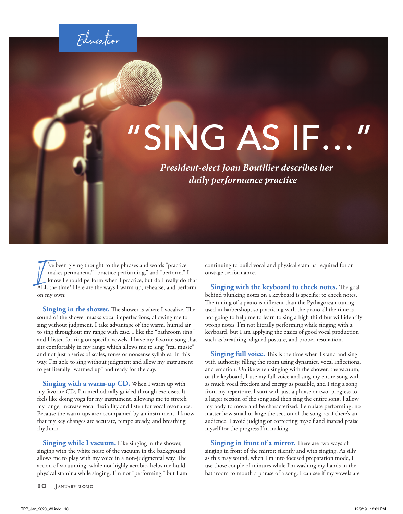Education

## "SING AS IF…"

*President-elect Joan Boutilier describes her daily performance practice*

Ve been giving thought to the phrases and words "practice" makes permanent," "practice performing," and "perform." I know I should perform when I practice, but do I really do that ALL the time? Here are the ways I warm up, 've been giving thought to the phrases and words "practice makes permanent," "practice performing," and "perform." I know I should perform when I practice, but do I really do that on my own:

**Singing in the shower.** The shower is where I vocalize. The sound of the shower masks vocal imperfections, allowing me to sing without judgment. I take advantage of the warm, humid air to sing throughout my range with ease. I like the "bathroom ring," and I listen for ring on specific vowels. I have my favorite song that sits comfortably in my range which allows me to sing "real music" and not just a series of scales, tones or nonsense syllables. In this way, I'm able to sing without judgment and allow my instrument to get literally "warmed up" and ready for the day.

**Singing with a warm-up CD.** When I warm up with my favorite CD, I'm methodically guided through exercises. It feels like doing yoga for my instrument, allowing me to stretch my range, increase vocal flexibility and listen for vocal resonance. Because the warm-ups are accompanied by an instrument, I know that my key changes are accurate, tempo steady, and breathing rhythmic.

**Singing while I vacuum.** Like singing in the shower, singing with the white noise of the vacuum in the background allows me to play with my voice in a non-judgmental way. The action of vacuuming, while not highly aerobic, helps me build physical stamina while singing. I'm not "performing," but I am continuing to build vocal and physical stamina required for an onstage performance.

**Singing with the keyboard to check notes.** The goal behind plunking notes on a keyboard is specific: to check notes. The tuning of a piano is different than the Pythagorean tuning used in barbershop, so practicing with the piano all the time is not going to help me to learn to sing a high third but will identify wrong notes. I'm not literally performing while singing with a keyboard, but I am applying the basics of good vocal production such as breathing, aligned posture, and proper resonation.

**Singing full voice.** This is the time when I stand and sing with authority, filling the room using dynamics, vocal inflections, and emotion. Unlike when singing with the shower, the vacuum, or the keyboard, I use my full voice and sing my entire song with as much vocal freedom and energy as possible, and I sing a song from my repertoire. I start with just a phrase or two, progress to a larger section of the song and then sing the entire song. I allow my body to move and be characterized. I emulate performing, no matter how small or large the section of the song, as if there's an audience. I avoid judging or correcting myself and instead praise myself for the progress I'm making.

**Singing in front of a mirror.** There are two ways of singing in front of the mirror: silently and with singing. As silly as this may sound, when I'm into focused preparation mode, I use those couple of minutes while I'm washing my hands in the bathroom to mouth a phrase of a song. I can see if my vowels are